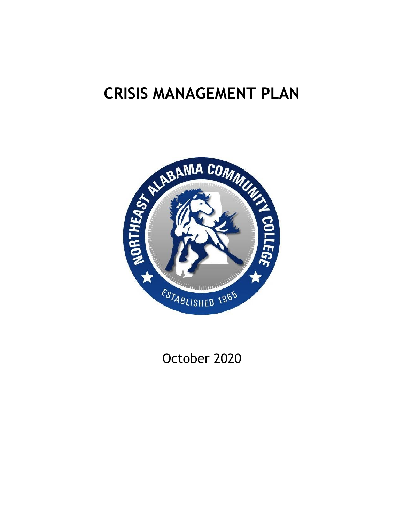# **CRISIS MANAGEMENT PLAN**



October 2020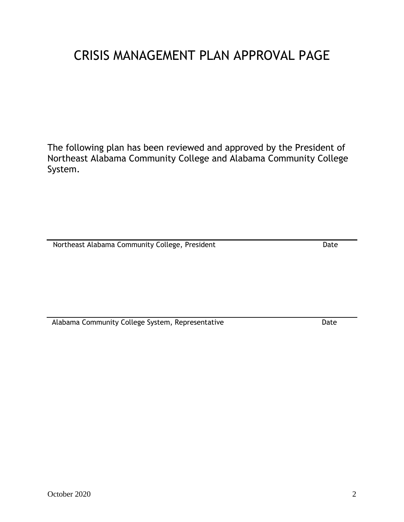# CRISIS MANAGEMENT PLAN APPROVAL PAGE

The following plan has been reviewed and approved by the President of Northeast Alabama Community College and Alabama Community College System.

Northeast Alabama Community College, President Date Date

Alabama Community College System, Representative **Example 2018** Date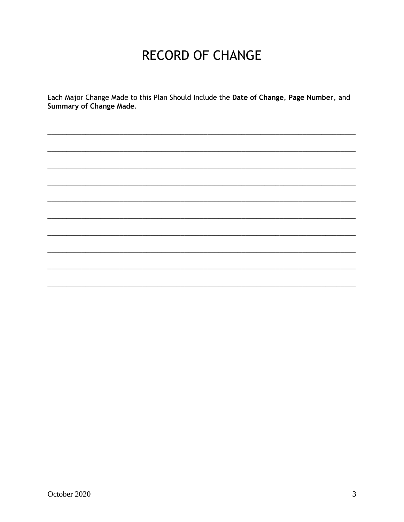# **RECORD OF CHANGE**

Each Major Change Made to this Plan Should Include the Date of Change, Page Number, and Summary of Change Made.

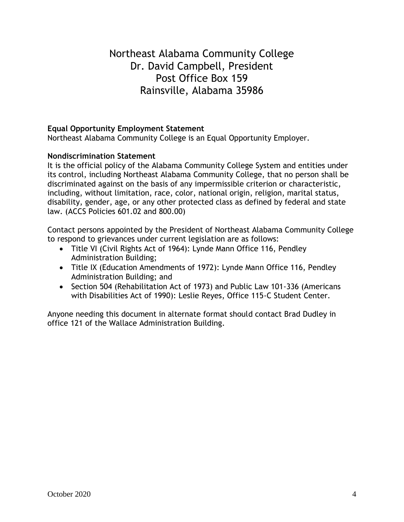# Northeast Alabama Community College Dr. David Campbell, President Post Office Box 159 Rainsville, Alabama 35986

### **Equal Opportunity Employment Statement**

Northeast Alabama Community College is an Equal Opportunity Employer.

#### **Nondiscrimination Statement**

It is the official policy of the Alabama Community College System and entities under its control, including Northeast Alabama Community College, that no person shall be discriminated against on the basis of any impermissible criterion or characteristic, including, without limitation, race, color, national origin, religion, marital status, disability, gender, age, or any other protected class as defined by federal and state law. (ACCS Policies 601.02 and 800.00)

Contact persons appointed by the President of Northeast Alabama Community College to respond to grievances under current legislation are as follows:

- Title VI (Civil Rights Act of 1964): Lynde Mann Office 116, Pendley Administration Building;
- Title IX (Education Amendments of 1972): Lynde Mann Office 116, Pendley Administration Building; and
- Section 504 (Rehabilitation Act of 1973) and Public Law 101-336 (Americans with Disabilities Act of 1990): Leslie Reyes, Office 115-C Student Center.

Anyone needing this document in alternate format should contact Brad Dudley in office 121 of the Wallace Administration Building.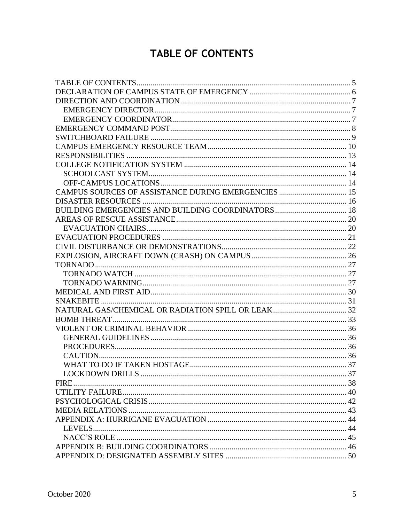# **TABLE OF CONTENTS**

<span id="page-4-0"></span>

| FIRE. |  |
|-------|--|
|       |  |
|       |  |
|       |  |
|       |  |
|       |  |
|       |  |
|       |  |
|       |  |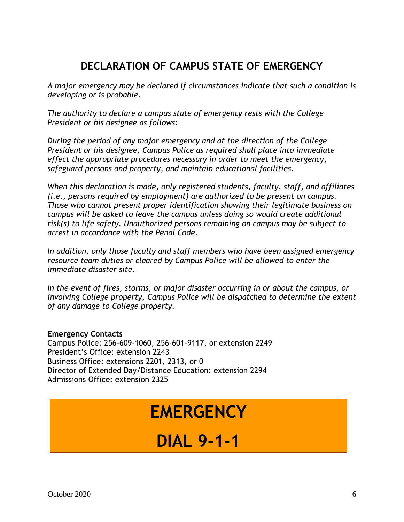# **DECLARATION OF CAMPUS STATE OF EMERGENCY**

<span id="page-5-0"></span>*A major emergency may be declared if circumstances indicate that such a condition is developing or is probable.*

*The authority to declare a campus state of emergency rests with the College President or his designee as follows:*

*During the period of any major emergency and at the direction of the College President or his designee, Campus Police as required shall place into immediate effect the appropriate procedures necessary in order to meet the emergency, safeguard persons and property, and maintain educational facilities.*

*When this declaration is made, only registered students, faculty, staff, and affiliates (i.e., persons required by employment) are authorized to be present on campus. Those who cannot present proper identification showing their legitimate business on campus will be asked to leave the campus unless doing so would create additional risk(s) to life safety. Unauthorized persons remaining on campus may be subject to arrest in accordance with the Penal Code.*

*In addition, only those faculty and staff members who have been assigned emergency resource team duties or cleared by Campus Police will be allowed to enter the immediate disaster site.*

*In the event of fires, storms, or major disaster occurring in or about the campus, or involving College property, Campus Police will be dispatched to determine the extent of any damage to College property.*

### **Emergency Contacts**

Campus Police: 256-609-1060, 256-601-9117, or extension 2249 President's Office: extension 2243 Business Office: extensions 2201, 2313, or 0 Director of Extended Day/Distance Education: extension 2294 Admissions Office: extension 2325

# **EMERGENCY**

# **DIAL 9-1-1**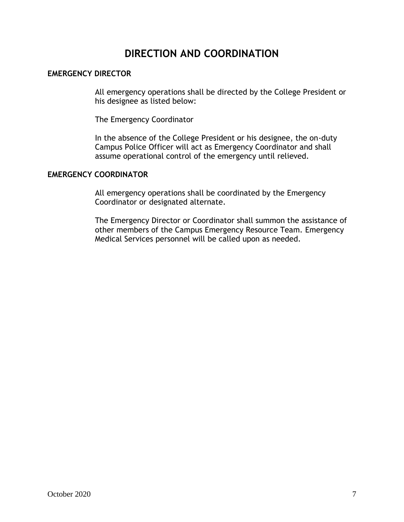# **DIRECTION AND COORDINATION**

### <span id="page-6-1"></span><span id="page-6-0"></span>**EMERGENCY DIRECTOR**

All emergency operations shall be directed by the College President or his designee as listed below:

The Emergency Coordinator

In the absence of the College President or his designee, the on-duty Campus Police Officer will act as Emergency Coordinator and shall assume operational control of the emergency until relieved.

#### <span id="page-6-2"></span>**EMERGENCY COORDINATOR**

All emergency operations shall be coordinated by the Emergency Coordinator or designated alternate.

The Emergency Director or Coordinator shall summon the assistance of other members of the Campus Emergency Resource Team. Emergency Medical Services personnel will be called upon as needed.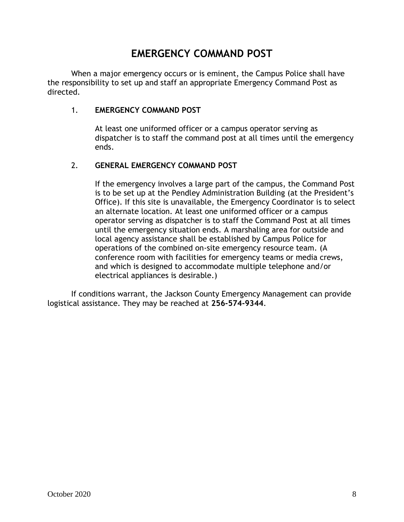# **EMERGENCY COMMAND POST**

<span id="page-7-0"></span>When a major emergency occurs or is eminent, the Campus Police shall have the responsibility to set up and staff an appropriate Emergency Command Post as directed.

### 1. **EMERGENCY COMMAND POST**

At least one uniformed officer or a campus operator serving as dispatcher is to staff the command post at all times until the emergency ends.

### 2. **GENERAL EMERGENCY COMMAND POST**

If the emergency involves a large part of the campus, the Command Post is to be set up at the Pendley Administration Building (at the President's Office). If this site is unavailable, the Emergency Coordinator is to select an alternate location. At least one uniformed officer or a campus operator serving as dispatcher is to staff the Command Post at all times until the emergency situation ends. A marshaling area for outside and local agency assistance shall be established by Campus Police for operations of the combined on-site emergency resource team. (A conference room with facilities for emergency teams or media crews, and which is designed to accommodate multiple telephone and/or electrical appliances is desirable.)

If conditions warrant, the Jackson County Emergency Management can provide logistical assistance. They may be reached at **256-574-9344**.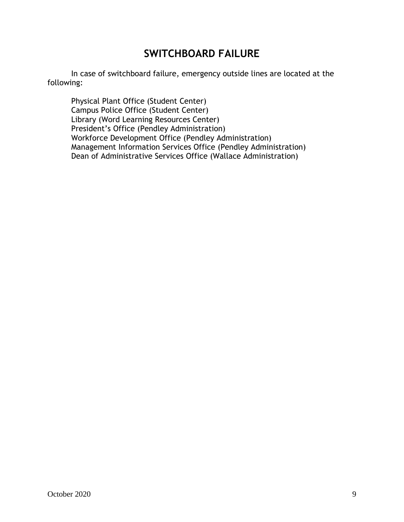# **SWITCHBOARD FAILURE**

<span id="page-8-0"></span>In case of switchboard failure, emergency outside lines are located at the following:

Physical Plant Office (Student Center) Campus Police Office (Student Center) Library (Word Learning Resources Center) President's Office (Pendley Administration) Workforce Development Office (Pendley Administration) Management Information Services Office (Pendley Administration) Dean of Administrative Services Office (Wallace Administration)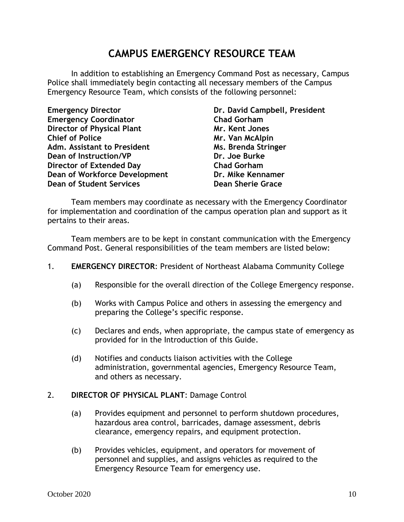# **CAMPUS EMERGENCY RESOURCE TEAM**

<span id="page-9-0"></span>In addition to establishing an Emergency Command Post as necessary, Campus Police shall immediately begin contacting all necessary members of the Campus Emergency Resource Team, which consists of the following personnel:

| <b>Emergency Director</b>            |
|--------------------------------------|
| <b>Emergency Coordinator</b>         |
| <b>Director of Physical Plant</b>    |
| <b>Chief of Police</b>               |
| Adm. Assistant to President          |
| <b>Dean of Instruction/VP</b>        |
| <b>Director of Extended Day</b>      |
| <b>Dean of Workforce Development</b> |
| <b>Dean of Student Services</b>      |

**Dr. David Campbell, President Chad Gorham Mr. Kent Jones Chief of Police Mr. Van McAlpin Ms. Brenda Stringer Dr. Joe Burke Chad Gorham Dr. Mike Kennamer Dean Sherie Grace** 

Team members may coordinate as necessary with the Emergency Coordinator for implementation and coordination of the campus operation plan and support as it pertains to their areas.

Team members are to be kept in constant communication with the Emergency Command Post. General responsibilities of the team members are listed below:

- 1. **EMERGENCY DIRECTOR**: President of Northeast Alabama Community College
	- (a) Responsible for the overall direction of the College Emergency response.
	- (b) Works with Campus Police and others in assessing the emergency and preparing the College's specific response.
	- (c) Declares and ends, when appropriate, the campus state of emergency as provided for in the Introduction of this Guide.
	- (d) Notifies and conducts liaison activities with the College administration, governmental agencies, Emergency Resource Team, and others as necessary.

#### 2. **DIRECTOR OF PHYSICAL PLANT**: Damage Control

- (a) Provides equipment and personnel to perform shutdown procedures, hazardous area control, barricades, damage assessment, debris clearance, emergency repairs, and equipment protection.
- (b) Provides vehicles, equipment, and operators for movement of personnel and supplies, and assigns vehicles as required to the Emergency Resource Team for emergency use.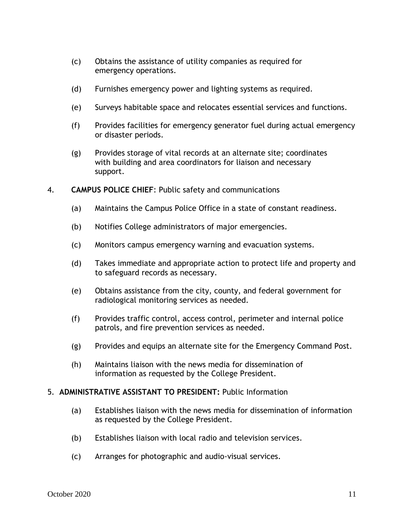- (c) Obtains the assistance of utility companies as required for emergency operations.
- (d) Furnishes emergency power and lighting systems as required.
- (e) Surveys habitable space and relocates essential services and functions.
- (f) Provides facilities for emergency generator fuel during actual emergency or disaster periods.
- (g) Provides storage of vital records at an alternate site; coordinates with building and area coordinators for liaison and necessary support.
- 4. **CAMPUS POLICE CHIEF**: Public safety and communications
	- (a) Maintains the Campus Police Office in a state of constant readiness.
	- (b) Notifies College administrators of major emergencies.
	- (c) Monitors campus emergency warning and evacuation systems.
	- (d) Takes immediate and appropriate action to protect life and property and to safeguard records as necessary.
	- (e) Obtains assistance from the city, county, and federal government for radiological monitoring services as needed.
	- (f) Provides traffic control, access control, perimeter and internal police patrols, and fire prevention services as needed.
	- (g) Provides and equips an alternate site for the Emergency Command Post.
	- (h) Maintains liaison with the news media for dissemination of information as requested by the College President.

#### 5. **ADMINISTRATIVE ASSISTANT TO PRESIDENT:** Public Information

- (a) Establishes liaison with the news media for dissemination of information as requested by the College President.
- (b) Establishes liaison with local radio and television services.
- (c) Arranges for photographic and audio-visual services.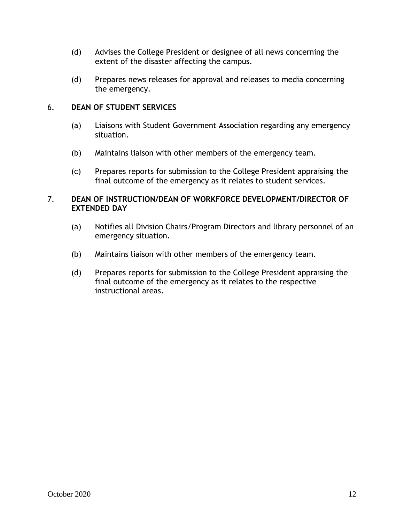- (d) Advises the College President or designee of all news concerning the extent of the disaster affecting the campus.
- (d) Prepares news releases for approval and releases to media concerning the emergency.

### 6. **DEAN OF STUDENT SERVICES**

- (a) Liaisons with Student Government Association regarding any emergency situation.
- (b) Maintains liaison with other members of the emergency team.
- (c) Prepares reports for submission to the College President appraising the final outcome of the emergency as it relates to student services.

### 7. **DEAN OF INSTRUCTION/DEAN OF WORKFORCE DEVELOPMENT/DIRECTOR OF EXTENDED DAY**

- (a) Notifies all Division Chairs/Program Directors and library personnel of an emergency situation.
- (b) Maintains liaison with other members of the emergency team.
- (d) Prepares reports for submission to the College President appraising the final outcome of the emergency as it relates to the respective instructional areas.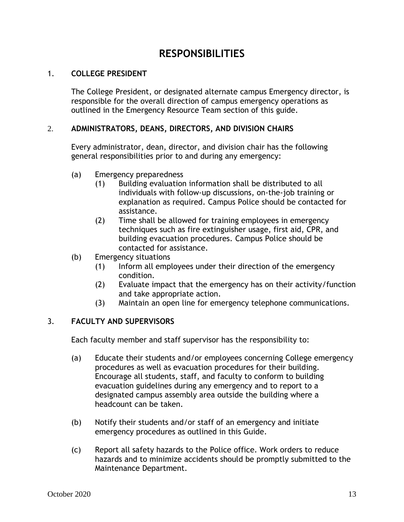### **RESPONSIBILITIES**

### <span id="page-12-0"></span>1. **COLLEGE PRESIDENT**

The College President, or designated alternate campus Emergency director, is responsible for the overall direction of campus emergency operations as outlined in the Emergency Resource Team section of this guide.

### 2. **ADMINISTRATORS, DEANS, DIRECTORS, AND DIVISION CHAIRS**

Every administrator, dean, director, and division chair has the following general responsibilities prior to and during any emergency:

- (a) Emergency preparedness
	- (1) Building evaluation information shall be distributed to all individuals with follow-up discussions, on-the-job training or explanation as required. Campus Police should be contacted for assistance.
	- (2) Time shall be allowed for training employees in emergency techniques such as fire extinguisher usage, first aid, CPR, and building evacuation procedures. Campus Police should be contacted for assistance.
- (b) Emergency situations
	- (1) Inform all employees under their direction of the emergency condition.
	- (2) Evaluate impact that the emergency has on their activity/function and take appropriate action.
	- (3) Maintain an open line for emergency telephone communications.

#### 3. **FACULTY AND SUPERVISORS**

Each faculty member and staff supervisor has the responsibility to:

- (a) Educate their students and/or employees concerning College emergency procedures as well as evacuation procedures for their building. Encourage all students, staff, and faculty to conform to building evacuation guidelines during any emergency and to report to a designated campus assembly area outside the building where a headcount can be taken.
- (b) Notify their students and/or staff of an emergency and initiate emergency procedures as outlined in this Guide.
- (c) Report all safety hazards to the Police office. Work orders to reduce hazards and to minimize accidents should be promptly submitted to the Maintenance Department.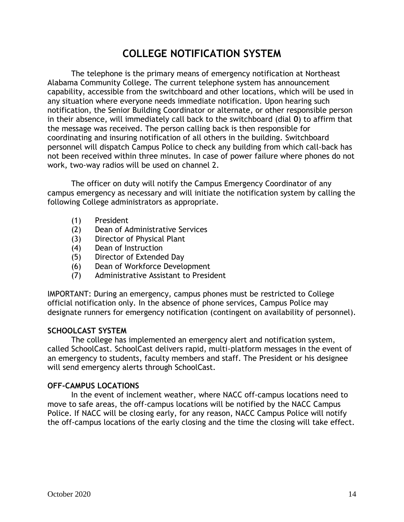# **COLLEGE NOTIFICATION SYSTEM**

<span id="page-13-0"></span>The telephone is the primary means of emergency notification at Northeast Alabama Community College. The current telephone system has announcement capability, accessible from the switchboard and other locations, which will be used in any situation where everyone needs immediate notification. Upon hearing such notification, the Senior Building Coordinator or alternate, or other responsible person in their absence, will immediately call back to the switchboard (dial **0**) to affirm that the message was received. The person calling back is then responsible for coordinating and insuring notification of all others in the building. Switchboard personnel will dispatch Campus Police to check any building from which call-back has not been received within three minutes. In case of power failure where phones do not work, two-way radios will be used on channel 2.

The officer on duty will notify the Campus Emergency Coordinator of any campus emergency as necessary and will initiate the notification system by calling the following College administrators as appropriate.

- (1) President
- (2) Dean of Administrative Services
- (3) Director of Physical Plant
- (4) Dean of Instruction
- (5) Director of Extended Day
- (6) Dean of Workforce Development
- (7) Administrative Assistant to President

IMPORTANT: During an emergency, campus phones must be restricted to College official notification only. In the absence of phone services, Campus Police may designate runners for emergency notification (contingent on availability of personnel).

#### <span id="page-13-1"></span>**SCHOOLCAST SYSTEM**

The college has implemented an emergency alert and notification system, called SchoolCast. SchoolCast delivers rapid, multi-platform messages in the event of an emergency to students, faculty members and staff. The President or his designee will send emergency alerts through SchoolCast.

#### <span id="page-13-2"></span>**OFF-CAMPUS LOCATIONS**

In the event of inclement weather, where NACC off-campus locations need to move to safe areas, the off-campus locations will be notified by the NACC Campus Police. If NACC will be closing early, for any reason, NACC Campus Police will notify the off-campus locations of the early closing and the time the closing will take effect.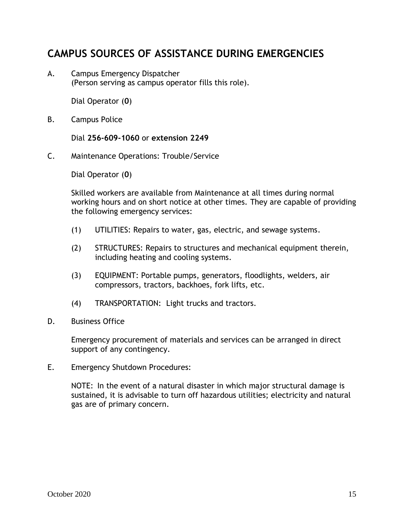# <span id="page-14-0"></span>**CAMPUS SOURCES OF ASSISTANCE DURING EMERGENCIES**

A. Campus Emergency Dispatcher (Person serving as campus operator fills this role).

Dial Operator (**0**)

B. Campus Police

Dial **256-609-1060** or **extension 2249**

C. Maintenance Operations: Trouble/Service

Dial Operator (**0**)

Skilled workers are available from Maintenance at all times during normal working hours and on short notice at other times. They are capable of providing the following emergency services:

- (1) UTILITIES: Repairs to water, gas, electric, and sewage systems.
- (2) STRUCTURES: Repairs to structures and mechanical equipment therein, including heating and cooling systems.
- (3) EQUIPMENT: Portable pumps, generators, floodlights, welders, air compressors, tractors, backhoes, fork lifts, etc.
- (4) TRANSPORTATION: Light trucks and tractors.
- D. Business Office

Emergency procurement of materials and services can be arranged in direct support of any contingency.

E. Emergency Shutdown Procedures:

NOTE: In the event of a natural disaster in which major structural damage is sustained, it is advisable to turn off hazardous utilities; electricity and natural gas are of primary concern.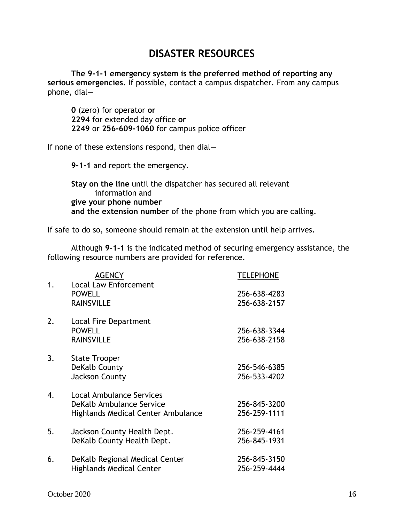# **DISASTER RESOURCES**

<span id="page-15-0"></span>**The 9-1-1 emergency system is the preferred method of reporting any serious emergencies**. If possible, contact a campus dispatcher. From any campus phone, dial—

**0** (zero) for operator **or 2294** for extended day office **or 2249** or **256-609-1060** for campus police officer

If none of these extensions respond, then dial—

**9-1-1** and report the emergency.

**Stay on the line** until the dispatcher has secured all relevant information and **give your phone number and the extension number** of the phone from which you are calling.

If safe to do so, someone should remain at the extension until help arrives.

Although **9-1-1** is the indicated method of securing emergency assistance, the following resource numbers are provided for reference.

|    | <b>AGENCY</b>                                                                                     | <b>TELEPHONE</b>             |
|----|---------------------------------------------------------------------------------------------------|------------------------------|
| 1. | <b>Local Law Enforcement</b><br><b>POWELL</b><br><b>RAINSVILLE</b>                                | 256-638-4283<br>256-638-2157 |
| 2. | <b>Local Fire Department</b><br><b>POWELL</b><br><b>RAINSVILLE</b>                                | 256-638-3344<br>256-638-2158 |
| 3. | <b>State Trooper</b><br>DeKalb County<br><b>Jackson County</b>                                    | 256-546-6385<br>256-533-4202 |
| 4. | <b>Local Ambulance Services</b><br>DeKalb Ambulance Service<br>Highlands Medical Center Ambulance | 256-845-3200<br>256-259-1111 |
| 5. | Jackson County Health Dept.<br>DeKalb County Health Dept.                                         | 256-259-4161<br>256-845-1931 |
| 6. | DeKalb Regional Medical Center<br><b>Highlands Medical Center</b>                                 | 256-845-3150<br>256-259-4444 |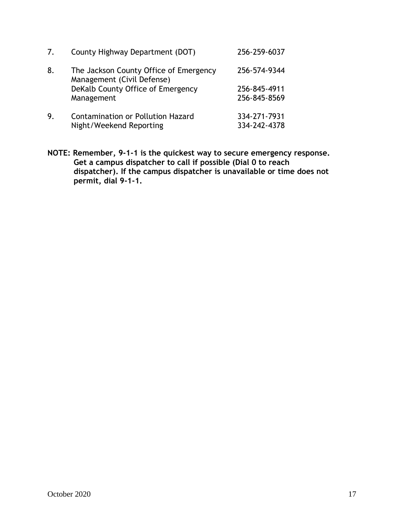| 7. | County Highway Department (DOT)                                      | 256-259-6037                 |
|----|----------------------------------------------------------------------|------------------------------|
| 8. | The Jackson County Office of Emergency<br>Management (Civil Defense) | 256-574-9344                 |
|    | DeKalb County Office of Emergency<br>Management                      | 256-845-4911<br>256-845-8569 |
| 9. | <b>Contamination or Pollution Hazard</b><br>Night/Weekend Reporting  | 334-271-7931<br>334-242-4378 |

**NOTE: Remember, 9-1-1 is the quickest way to secure emergency response. Get a campus dispatcher to call if possible (Dial 0 to reach dispatcher). If the campus dispatcher is unavailable or time does not permit, dial 9-1-1.**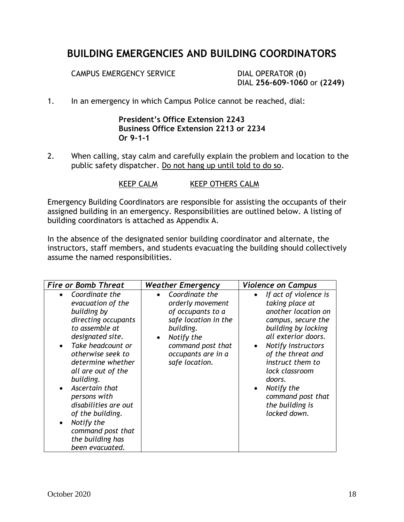# <span id="page-17-0"></span>**BUILDING EMERGENCIES AND BUILDING COORDINATORS**

CAMPUS EMERGENCY SERVICE DIAL OPERATOR (**0**)

DIAL **256-609-1060** or **(2249)**

1. In an emergency in which Campus Police cannot be reached, dial:

### **President's Office Extension 2243 Business Office Extension 2213 or 2234 Or 9-1-1**

2. When calling, stay calm and carefully explain the problem and location to the public safety dispatcher. Do not hang up until told to do so.

KEEP CALM KEEP OTHERS CALM

Emergency Building Coordinators are responsible for assisting the occupants of their assigned building in an emergency. Responsibilities are outlined below. A listing of building coordinators is attached as Appendix A.

In the absence of the designated senior building coordinator and alternate, the instructors, staff members, and students evacuating the building should collectively assume the named responsibilities.

| <b>Fire or Bomb Threat</b>                                                                                                                                                                                                                                                                                                                                                                          | <b>Weather Emergency</b>                                                                                                                                                             | <b>Violence on Campus</b>                                                                                                                                                                                                                                                                                                      |
|-----------------------------------------------------------------------------------------------------------------------------------------------------------------------------------------------------------------------------------------------------------------------------------------------------------------------------------------------------------------------------------------------------|--------------------------------------------------------------------------------------------------------------------------------------------------------------------------------------|--------------------------------------------------------------------------------------------------------------------------------------------------------------------------------------------------------------------------------------------------------------------------------------------------------------------------------|
| Coordinate the<br>evacuation of the<br>building by<br>directing occupants<br>to assemble at<br>designated site.<br>Take headcount or<br>$\bullet$<br>otherwise seek to<br>determine whether<br>all are out of the<br>building.<br>Ascertain that<br>persons with<br>disabilities are out<br>of the building.<br>Notify the<br>$\bullet$<br>command post that<br>the building has<br>been evacuated. | Coordinate the<br>orderly movement<br>of occupants to a<br>safe location in the<br>building.<br>Notify the<br>$\bullet$<br>command post that<br>occupants are in a<br>safe location. | If act of violence is<br>taking place at<br>another location on<br>campus, secure the<br>building by locking<br>all exterior doors.<br>Notify instructors<br>$\bullet$<br>of the threat and<br>instruct them to<br>lock classroom<br>doors.<br>Notify the<br>$\bullet$<br>command post that<br>the building is<br>locked down. |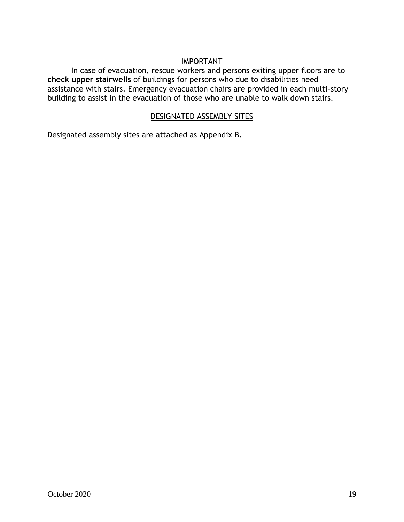#### IMPORTANT

In case of evacuation, rescue workers and persons exiting upper floors are to **check upper stairwells** of buildings for persons who due to disabilities need assistance with stairs. Emergency evacuation chairs are provided in each multi-story building to assist in the evacuation of those who are unable to walk down stairs.

### DESIGNATED ASSEMBLY SITES

Designated assembly sites are attached as Appendix B.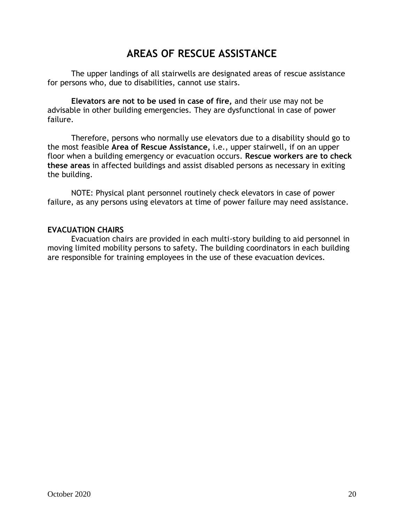# **AREAS OF RESCUE ASSISTANCE**

<span id="page-19-0"></span>The upper landings of all stairwells are designated areas of rescue assistance for persons who, due to disabilities, cannot use stairs.

**Elevators are not to be used in case of fire,** and their use may not be advisable in other building emergencies. They are dysfunctional in case of power failure.

Therefore, persons who normally use elevators due to a disability should go to the most feasible **Area of Rescue Assistance,** i.e., upper stairwell, if on an upper floor when a building emergency or evacuation occurs. **Rescue workers are to check these areas** in affected buildings and assist disabled persons as necessary in exiting the building.

NOTE: Physical plant personnel routinely check elevators in case of power failure, as any persons using elevators at time of power failure may need assistance.

### <span id="page-19-1"></span>**EVACUATION CHAIRS**

Evacuation chairs are provided in each multi-story building to aid personnel in moving limited mobility persons to safety. The building coordinators in each building are responsible for training employees in the use of these evacuation devices.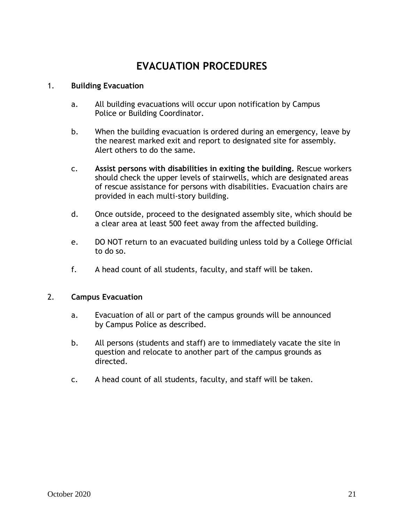# **EVACUATION PROCEDURES**

#### <span id="page-20-0"></span>1. **Building Evacuation**

- a. All building evacuations will occur upon notification by Campus Police or Building Coordinator.
- b. When the building evacuation is ordered during an emergency, leave by the nearest marked exit and report to designated site for assembly. Alert others to do the same.
- c. **Assist persons with disabilities in exiting the building.** Rescue workers should check the upper levels of stairwells, which are designated areas of rescue assistance for persons with disabilities. Evacuation chairs are provided in each multi-story building.
- d. Once outside, proceed to the designated assembly site, which should be a clear area at least 500 feet away from the affected building.
- e. DO NOT return to an evacuated building unless told by a College Official to do so.
- f. A head count of all students, faculty, and staff will be taken.

#### 2. **Campus Evacuation**

- a. Evacuation of all or part of the campus grounds will be announced by Campus Police as described.
- b. All persons (students and staff) are to immediately vacate the site in question and relocate to another part of the campus grounds as directed.
- c. A head count of all students, faculty, and staff will be taken.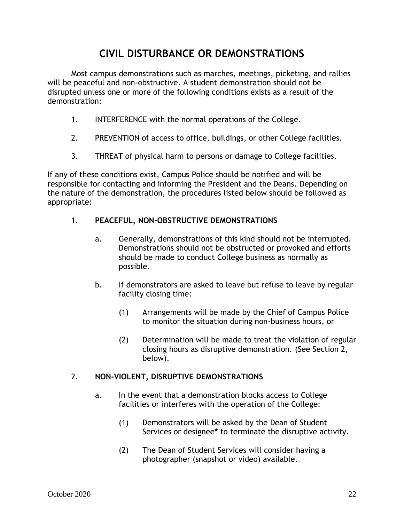# **CIVIL DISTURBANCE OR DEMONSTRATIONS**

<span id="page-21-0"></span>Most campus demonstrations such as marches, meetings, picketing, and rallies will be peaceful and non-obstructive. A student demonstration should not be disrupted unless one or more of the following conditions exists as a result of the demonstration:

- 1. INTERFERENCE with the normal operations of the College.
- 2. PREVENTION of access to office, buildings, or other College facilities.
- 3. THREAT of physical harm to persons or damage to College facilities.

If any of these conditions exist, Campus Police should be notified and will be responsible for contacting and informing the President and the Deans. Depending on the nature of the demonstration, the procedures listed below should be followed as appropriate:

### 1. **PEACEFUL, NON-OBSTRUCTIVE DEMONSTRATIONS**

- a. Generally, demonstrations of this kind should not be interrupted. Demonstrations should not be obstructed or provoked and efforts should be made to conduct College business as normally as possible.
- b. If demonstrators are asked to leave but refuse to leave by regular facility closing time:
	- (1) Arrangements will be made by the Chief of Campus Police to monitor the situation during non-business hours, or
	- (2) Determination will be made to treat the violation of regular closing hours as disruptive demonstration. (See Section 2, below).

#### 2. **NON-VIOLENT, DISRUPTIVE DEMONSTRATIONS**

- a. In the event that a demonstration blocks access to College facilities or interferes with the operation of the College:
	- (1) Demonstrators will be asked by the Dean of Student Services or designee**\*** to terminate the disruptive activity.
	- (2) The Dean of Student Services will consider having a photographer (snapshot or video) available.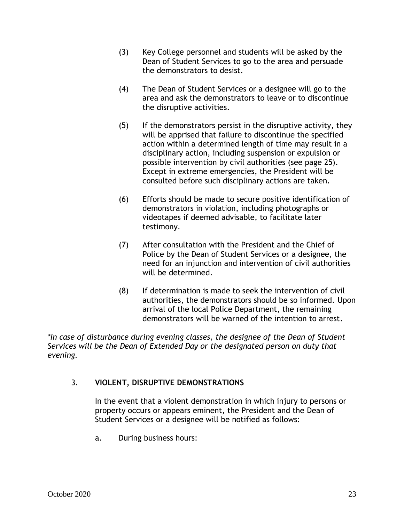- (3) Key College personnel and students will be asked by the Dean of Student Services to go to the area and persuade the demonstrators to desist.
- (4) The Dean of Student Services or a designee will go to the area and ask the demonstrators to leave or to discontinue the disruptive activities.
- (5) If the demonstrators persist in the disruptive activity, they will be apprised that failure to discontinue the specified action within a determined length of time may result in a disciplinary action, including suspension or expulsion or possible intervention by civil authorities (see page 25). Except in extreme emergencies, the President will be consulted before such disciplinary actions are taken.
- (6) Efforts should be made to secure positive identification of demonstrators in violation, including photographs or videotapes if deemed advisable, to facilitate later testimony.
- (7) After consultation with the President and the Chief of Police by the Dean of Student Services or a designee, the need for an injunction and intervention of civil authorities will be determined.
- (8) If determination is made to seek the intervention of civil authorities, the demonstrators should be so informed. Upon arrival of the local Police Department, the remaining demonstrators will be warned of the intention to arrest.

*\*In case of disturbance during evening classes, the designee of the Dean of Student Services will be the Dean of Extended Day or the designated person on duty that evening.*

### 3. **VIOLENT, DISRUPTIVE DEMONSTRATIONS**

In the event that a violent demonstration in which injury to persons or property occurs or appears eminent, the President and the Dean of Student Services or a designee will be notified as follows:

a. During business hours: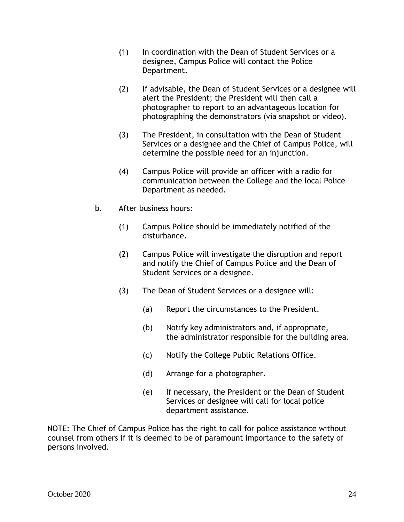- (1) In coordination with the Dean of Student Services or a designee, Campus Police will contact the Police Department.
- (2) If advisable, the Dean of Student Services or a designee will alert the President; the President will then call a photographer to report to an advantageous location for photographing the demonstrators (via snapshot or video).
- (3) The President, in consultation with the Dean of Student Services or a designee and the Chief of Campus Police, will determine the possible need for an injunction.
- (4) Campus Police will provide an officer with a radio for communication between the College and the local Police Department as needed.
- b. After business hours:
	- (1) Campus Police should be immediately notified of the disturbance.
	- (2) Campus Police will investigate the disruption and report and notify the Chief of Campus Police and the Dean of Student Services or a designee.
	- (3) The Dean of Student Services or a designee will:
		- (a) Report the circumstances to the President.
		- (b) Notify key administrators and, if appropriate, the administrator responsible for the building area.
		- (c) Notify the College Public Relations Office.
		- (d) Arrange for a photographer.
		- (e) If necessary, the President or the Dean of Student Services or designee will call for local police department assistance.

NOTE: The Chief of Campus Police has the right to call for police assistance without counsel from others if it is deemed to be of paramount importance to the safety of persons involved.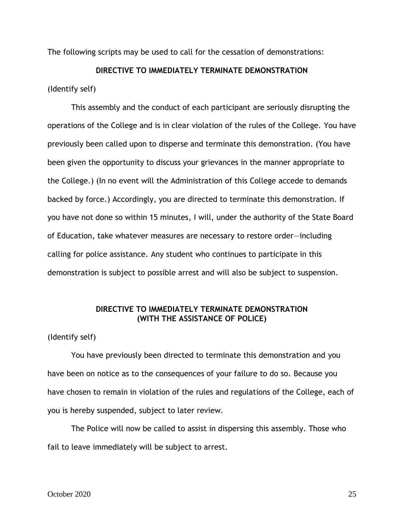The following scripts may be used to call for the cessation of demonstrations:

#### **DIRECTIVE TO IMMEDIATELY TERMINATE DEMONSTRATION**

(Identify self)

This assembly and the conduct of each participant are seriously disrupting the operations of the College and is in clear violation of the rules of the College. You have previously been called upon to disperse and terminate this demonstration. (You have been given the opportunity to discuss your grievances in the manner appropriate to the College.) (In no event will the Administration of this College accede to demands backed by force.) Accordingly, you are directed to terminate this demonstration. If you have not done so within 15 minutes, I will, under the authority of the State Board of Education, take whatever measures are necessary to restore order—including calling for police assistance. Any student who continues to participate in this demonstration is subject to possible arrest and will also be subject to suspension.

#### **DIRECTIVE TO IMMEDIATELY TERMINATE DEMONSTRATION (WITH THE ASSISTANCE OF POLICE)**

(Identify self)

You have previously been directed to terminate this demonstration and you have been on notice as to the consequences of your failure to do so. Because you have chosen to remain in violation of the rules and regulations of the College, each of you is hereby suspended, subject to later review.

The Police will now be called to assist in dispersing this assembly. Those who fail to leave immediately will be subject to arrest.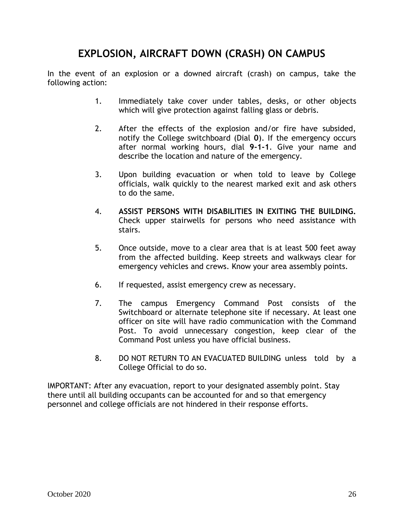# **EXPLOSION, AIRCRAFT DOWN (CRASH) ON CAMPUS**

<span id="page-25-0"></span>In the event of an explosion or a downed aircraft (crash) on campus, take the following action:

- 1. Immediately take cover under tables, desks, or other objects which will give protection against falling glass or debris.
- 2. After the effects of the explosion and/or fire have subsided, notify the College switchboard (Dial **0**). If the emergency occurs after normal working hours, dial **9-1-1**. Give your name and describe the location and nature of the emergency.
- 3. Upon building evacuation or when told to leave by College officials, walk quickly to the nearest marked exit and ask others to do the same.
- 4. **ASSIST PERSONS WITH DISABILITIES IN EXITING THE BUILDING.**  Check upper stairwells for persons who need assistance with stairs.
- 5. Once outside, move to a clear area that is at least 500 feet away from the affected building. Keep streets and walkways clear for emergency vehicles and crews. Know your area assembly points.
- 6. If requested, assist emergency crew as necessary.
- 7. The campus Emergency Command Post consists of the Switchboard or alternate telephone site if necessary. At least one officer on site will have radio communication with the Command Post. To avoid unnecessary congestion, keep clear of the Command Post unless you have official business.
- 8. DO NOT RETURN TO AN EVACUATED BUILDING unless told by a College Official to do so.

IMPORTANT: After any evacuation, report to your designated assembly point. Stay there until all building occupants can be accounted for and so that emergency personnel and college officials are not hindered in their response efforts.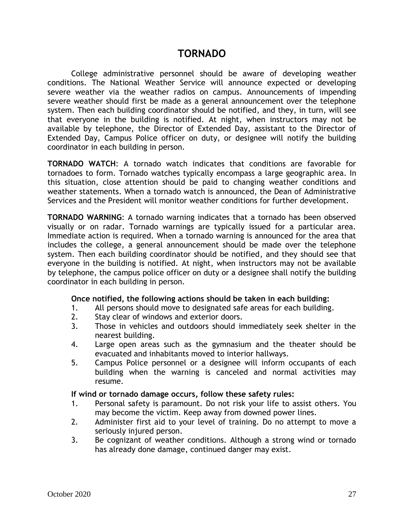### **TORNADO**

<span id="page-26-0"></span>College administrative personnel should be aware of developing weather conditions. The National Weather Service will announce expected or developing severe weather via the weather radios on campus. Announcements of impending severe weather should first be made as a general announcement over the telephone system. Then each building coordinator should be notified, and they, in turn, will see that everyone in the building is notified. At night, when instructors may not be available by telephone, the Director of Extended Day, assistant to the Director of Extended Day, Campus Police officer on duty, or designee will notify the building coordinator in each building in person.

<span id="page-26-1"></span>**TORNADO WATCH**: A tornado watch indicates that conditions are favorable for tornadoes to form. Tornado watches typically encompass a large geographic area. In this situation, close attention should be paid to changing weather conditions and weather statements. When a tornado watch is announced, the Dean of Administrative Services and the President will monitor weather conditions for further development.

<span id="page-26-2"></span>**TORNADO WARNING**: A tornado warning indicates that a tornado has been observed visually or on radar. Tornado warnings are typically issued for a particular area. Immediate action is required. When a tornado warning is announced for the area that includes the college, a general announcement should be made over the telephone system. Then each building coordinator should be notified, and they should see that everyone in the building is notified. At night, when instructors may not be available by telephone, the campus police officer on duty or a designee shall notify the building coordinator in each building in person.

#### **Once notified, the following actions should be taken in each building:**

- 1. All persons should move to designated safe areas for each building.
- 2. Stay clear of windows and exterior doors.
- 3. Those in vehicles and outdoors should immediately seek shelter in the nearest building.
- 4. Large open areas such as the gymnasium and the theater should be evacuated and inhabitants moved to interior hallways.
- 5. Campus Police personnel or a designee will inform occupants of each building when the warning is canceled and normal activities may resume.

#### **If wind or tornado damage occurs, follow these safety rules:**

- 1. Personal safety is paramount. Do not risk your life to assist others. You may become the victim. Keep away from downed power lines.
- 2. Administer first aid to your level of training. Do no attempt to move a seriously injured person.
- 3. Be cognizant of weather conditions. Although a strong wind or tornado has already done damage, continued danger may exist.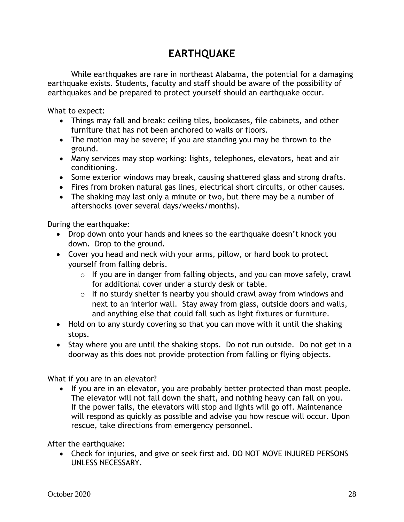# **EARTHQUAKE**

While earthquakes are rare in northeast Alabama, the potential for a damaging earthquake exists. Students, faculty and staff should be aware of the possibility of earthquakes and be prepared to protect yourself should an earthquake occur.

What to expect:

- Things may fall and break: ceiling tiles, bookcases, file cabinets, and other furniture that has not been anchored to walls or floors.
- The motion may be severe; if you are standing you may be thrown to the ground.
- Many services may stop working: lights, telephones, elevators, heat and air conditioning.
- Some exterior windows may break, causing shattered glass and strong drafts.
- Fires from broken natural gas lines, electrical short circuits, or other causes.
- The shaking may last only a minute or two, but there may be a number of aftershocks (over several days/weeks/months).

During the earthquake:

- Drop down onto your hands and knees so the earthquake doesn't knock you down. Drop to the ground.
- Cover you head and neck with your arms, pillow, or hard book to protect yourself from falling debris.
	- $\circ$  If you are in danger from falling objects, and you can move safely, crawl for additional cover under a sturdy desk or table.
	- $\circ$  If no sturdy shelter is nearby you should crawl away from windows and next to an interior wall. Stay away from glass, outside doors and walls, and anything else that could fall such as light fixtures or furniture.
- Hold on to any sturdy covering so that you can move with it until the shaking stops.
- Stay where you are until the shaking stops. Do not run outside. Do not get in a doorway as this does not provide protection from falling or flying objects.

What if you are in an elevator?

• If you are in an elevator, you are probably better protected than most people. The elevator will not fall down the shaft, and nothing heavy can fall on you. If the power fails, the elevators will stop and lights will go off. Maintenance will respond as quickly as possible and advise you how rescue will occur. Upon rescue, take directions from emergency personnel.

After the earthquake:

• Check for injuries, and give or seek first aid. DO NOT MOVE INJURED PERSONS UNLESS NECESSARY.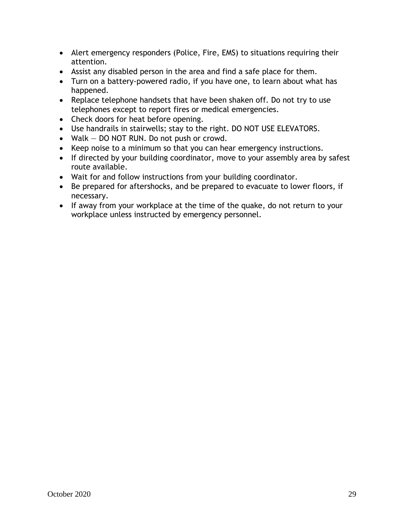- Alert emergency responders (Police, Fire, EMS) to situations requiring their attention.
- Assist any disabled person in the area and find a safe place for them.
- Turn on a battery-powered radio, if you have one, to learn about what has happened.
- Replace telephone handsets that have been shaken off. Do not try to use telephones except to report fires or medical emergencies.
- Check doors for heat before opening.
- Use handrails in stairwells; stay to the right. DO NOT USE ELEVATORS.
- Walk  $-$  DO NOT RUN. Do not push or crowd.
- Keep noise to a minimum so that you can hear emergency instructions.
- If directed by your building coordinator, move to your assembly area by safest route available.
- Wait for and follow instructions from your building coordinator.
- Be prepared for aftershocks, and be prepared to evacuate to lower floors, if necessary.
- If away from your workplace at the time of the quake, do not return to your workplace unless instructed by emergency personnel.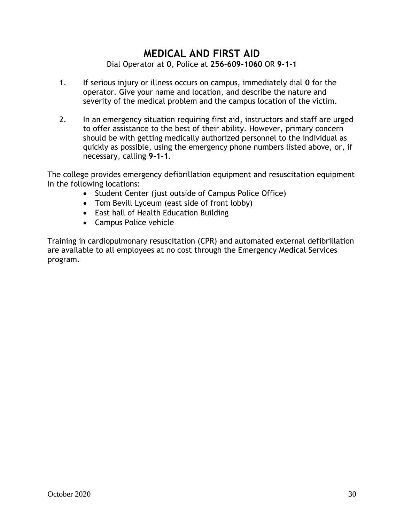### **MEDICAL AND FIRST AID** Dial Operator at **0**, Police at **256-609-1060** OR **9-1-1**

- <span id="page-29-0"></span>1. If serious injury or illness occurs on campus, immediately dial **0** for the operator. Give your name and location, and describe the nature and severity of the medical problem and the campus location of the victim.
- 2. In an emergency situation requiring first aid, instructors and staff are urged to offer assistance to the best of their ability. However, primary concern should be with getting medically authorized personnel to the individual as quickly as possible, using the emergency phone numbers listed above, or, if necessary, calling **9-1-1**.

The college provides emergency defibrillation equipment and resuscitation equipment in the following locations:

- Student Center (just outside of Campus Police Office)
- Tom Bevill Lyceum (east side of front lobby)
- East hall of Health Education Building
- Campus Police vehicle

Training in cardiopulmonary resuscitation (CPR) and automated external defibrillation are available to all employees at no cost through the Emergency Medical Services program.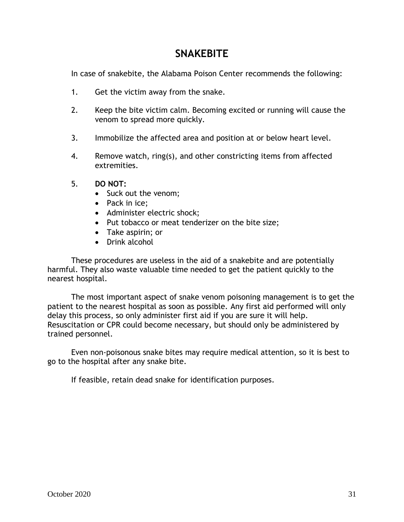## **SNAKEBITE**

<span id="page-30-0"></span>In case of snakebite, the Alabama Poison Center recommends the following:

- 1. Get the victim away from the snake.
- 2. Keep the bite victim calm. Becoming excited or running will cause the venom to spread more quickly.
- 3. Immobilize the affected area and position at or below heart level.
- 4. Remove watch, ring(s), and other constricting items from affected extremities.
- 5. **DO NOT:**
	- Suck out the venom;
	- Pack in ice;
	- Administer electric shock;
	- Put tobacco or meat tenderizer on the bite size;
	- Take aspirin; or
	- Drink alcohol

These procedures are useless in the aid of a snakebite and are potentially harmful. They also waste valuable time needed to get the patient quickly to the nearest hospital.

The most important aspect of snake venom poisoning management is to get the patient to the nearest hospital as soon as possible. Any first aid performed will only delay this process, so only administer first aid if you are sure it will help. Resuscitation or CPR could become necessary, but should only be administered by trained personnel.

Even non-poisonous snake bites may require medical attention, so it is best to go to the hospital after any snake bite.

If feasible, retain dead snake for identification purposes.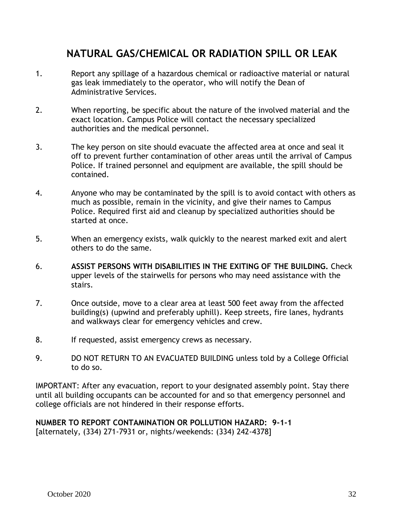# <span id="page-31-0"></span>**NATURAL GAS/CHEMICAL OR RADIATION SPILL OR LEAK**

- 1. Report any spillage of a hazardous chemical or radioactive material or natural gas leak immediately to the operator, who will notify the Dean of Administrative Services.
- 2. When reporting, be specific about the nature of the involved material and the exact location. Campus Police will contact the necessary specialized authorities and the medical personnel.
- 3. The key person on site should evacuate the affected area at once and seal it off to prevent further contamination of other areas until the arrival of Campus Police. If trained personnel and equipment are available, the spill should be contained.
- 4. Anyone who may be contaminated by the spill is to avoid contact with others as much as possible, remain in the vicinity, and give their names to Campus Police. Required first aid and cleanup by specialized authorities should be started at once.
- 5. When an emergency exists, walk quickly to the nearest marked exit and alert others to do the same.
- 6. **ASSIST PERSONS WITH DISABILITIES IN THE EXITING OF THE BUILDING.** Check upper levels of the stairwells for persons who may need assistance with the stairs.
- 7. Once outside, move to a clear area at least 500 feet away from the affected building(s) (upwind and preferably uphill). Keep streets, fire lanes, hydrants and walkways clear for emergency vehicles and crew.
- 8. If requested, assist emergency crews as necessary.
- 9. DO NOT RETURN TO AN EVACUATED BUILDING unless told by a College Official to do so.

IMPORTANT: After any evacuation, report to your designated assembly point. Stay there until all building occupants can be accounted for and so that emergency personnel and college officials are not hindered in their response efforts.

#### **NUMBER TO REPORT CONTAMINATION OR POLLUTION HAZARD: 9-1-1** [alternately, (334) 271-7931 or, nights/weekends: (334) 242-4378]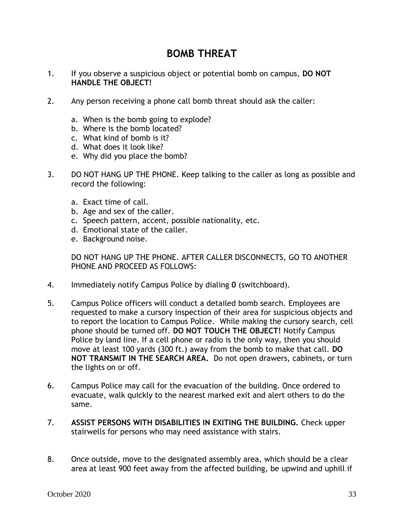## **BOMB THREAT**

- <span id="page-32-0"></span>1. If you observe a suspicious object or potential bomb on campus, **DO NOT HANDLE THE OBJECT!**
- 2. Any person receiving a phone call bomb threat should ask the caller:
	- a. When is the bomb going to explode?
	- b. Where is the bomb located?
	- c. What kind of bomb is it?
	- d. What does it look like?
	- e. Why did you place the bomb?
- 3. DO NOT HANG UP THE PHONE. Keep talking to the caller as long as possible and record the following:
	- a. Exact time of call.
	- b. Age and sex of the caller.
	- c. Speech pattern, accent, possible nationality, etc.
	- d. Emotional state of the caller.
	- e. Background noise.

DO NOT HANG UP THE PHONE. AFTER CALLER DISCONNECTS, GO TO ANOTHER PHONE AND PROCEED AS FOLLOWS:

- 4. Immediately notify Campus Police by dialing **0** (switchboard).
- 5. Campus Police officers will conduct a detailed bomb search. Employees are requested to make a cursory inspection of their area for suspicious objects and to report the location to Campus Police. While making the cursory search, cell phone should be turned off. **DO NOT TOUCH THE OBJECT!** Notify Campus Police by land line. If a cell phone or radio is the only way, then you should move at least 100 yards (300 ft.) away from the bomb to make that call. **DO NOT TRANSMIT IN THE SEARCH AREA.** Do not open drawers, cabinets, or turn the lights on or off.
- 6. Campus Police may call for the evacuation of the building. Once ordered to evacuate, walk quickly to the nearest marked exit and alert others to do the same.
- 7. **ASSIST PERSONS WITH DISABILITIES IN EXITING THE BUILDING.** Check upper stairwells for persons who may need assistance with stairs.
- 8. Once outside, move to the designated assembly area, which should be a clear area at least 900 feet away from the affected building, be upwind and uphill if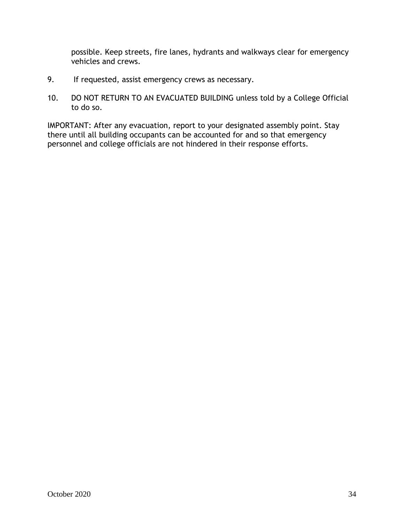possible. Keep streets, fire lanes, hydrants and walkways clear for emergency vehicles and crews.

- 9. If requested, assist emergency crews as necessary.
- 10. DO NOT RETURN TO AN EVACUATED BUILDING unless told by a College Official to do so.

IMPORTANT: After any evacuation, report to your designated assembly point. Stay there until all building occupants can be accounted for and so that emergency personnel and college officials are not hindered in their response efforts.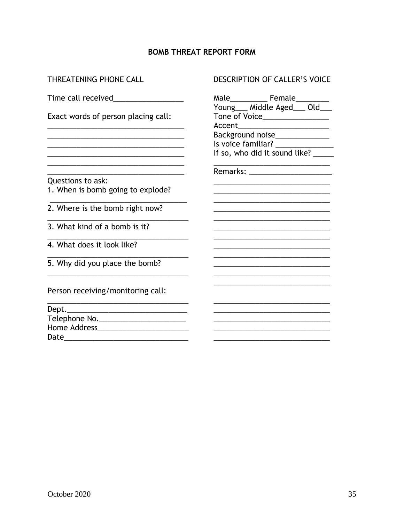### **BOMB THREAT REPORT FORM**

THREATENING PHONE CALL

Exact words of person placing call:

Questions to ask:

1. When is bomb going to explode?

- 2. Where is the bomb right now?
- $\overline{3}$ . What kind of a bomb is it?
- 4. What does it look like?
- 5. Why did you place the bomb?

Person receiving/monitoring call:

| Dept.               |  |
|---------------------|--|
| Telephone No.       |  |
| <b>Home Address</b> |  |
| Date                |  |

#### DESCRIPTION OF CALLER'S VOICE

| Accent | Male____________ Female_________<br>Young____ Middle Aged____ Old__<br>Tone of Voice_______________ |
|--------|-----------------------------------------------------------------------------------------------------|
|        | Background noise_____________                                                                       |
|        | Is voice familiar? __________                                                                       |
|        | If so, who did it sound like? _                                                                     |
|        |                                                                                                     |
|        | Remarks: ______________                                                                             |
|        |                                                                                                     |
|        |                                                                                                     |
|        |                                                                                                     |
|        |                                                                                                     |
|        |                                                                                                     |
|        |                                                                                                     |
|        |                                                                                                     |
|        |                                                                                                     |
|        |                                                                                                     |
|        |                                                                                                     |
|        |                                                                                                     |
|        |                                                                                                     |
|        |                                                                                                     |
|        |                                                                                                     |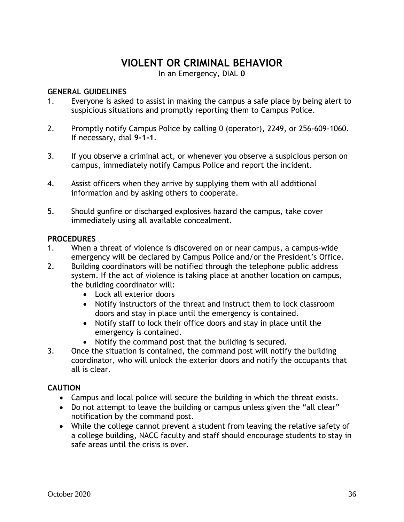## **VIOLENT OR CRIMINAL BEHAVIOR**

In an Emergency, DIAL **0**

### <span id="page-35-1"></span><span id="page-35-0"></span>**GENERAL GUIDELINES**

- 1. Everyone is asked to assist in making the campus a safe place by being alert to suspicious situations and promptly reporting them to Campus Police.
- 2. Promptly notify Campus Police by calling 0 (operator), 2249, or 256-609-1060. If necessary, dial **9-1-1**.
- 3. If you observe a criminal act, or whenever you observe a suspicious person on campus, immediately notify Campus Police and report the incident.
- 4. Assist officers when they arrive by supplying them with all additional information and by asking others to cooperate.
- 5. Should gunfire or discharged explosives hazard the campus, take cover immediately using all available concealment.

### <span id="page-35-2"></span>**PROCEDURES**

- 1. When a threat of violence is discovered on or near campus, a campus-wide emergency will be declared by Campus Police and/or the President's Office.
- 2. Building coordinators will be notified through the telephone public address system. If the act of violence is taking place at another location on campus, the building coordinator will:
	- Lock all exterior doors
	- Notify instructors of the threat and instruct them to lock classroom doors and stay in place until the emergency is contained.
	- Notify staff to lock their office doors and stay in place until the emergency is contained.
	- Notify the command post that the building is secured.
- 3. Once the situation is contained, the command post will notify the building coordinator, who will unlock the exterior doors and notify the occupants that all is clear.

### <span id="page-35-3"></span>**CAUTION**

- Campus and local police will secure the building in which the threat exists.
- Do not attempt to leave the building or campus unless given the "all clear" notification by the command post.
- While the college cannot prevent a student from leaving the relative safety of a college building, NACC faculty and staff should encourage students to stay in safe areas until the crisis is over.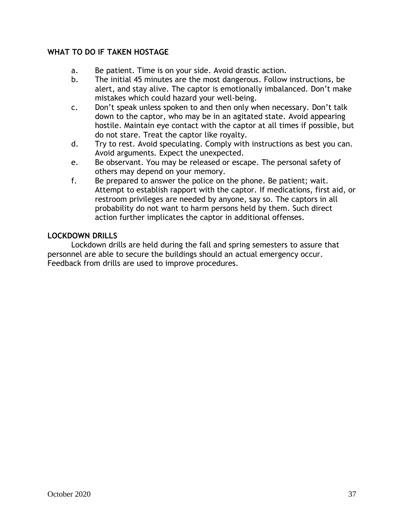### <span id="page-36-0"></span>**WHAT TO DO IF TAKEN HOSTAGE**

- a. Be patient. Time is on your side. Avoid drastic action.
- b. The initial 45 minutes are the most dangerous. Follow instructions, be alert, and stay alive. The captor is emotionally imbalanced. Don't make mistakes which could hazard your well-being.
- c. Don't speak unless spoken to and then only when necessary. Don't talk down to the captor, who may be in an agitated state. Avoid appearing hostile. Maintain eye contact with the captor at all times if possible, but do not stare. Treat the captor like royalty.
- d. Try to rest. Avoid speculating. Comply with instructions as best you can. Avoid arguments. Expect the unexpected.
- e. Be observant. You may be released or escape. The personal safety of others may depend on your memory.
- f. Be prepared to answer the police on the phone. Be patient; wait. Attempt to establish rapport with the captor. If medications, first aid, or restroom privileges are needed by anyone, say so. The captors in all probability do not want to harm persons held by them. Such direct action further implicates the captor in additional offenses.

#### <span id="page-36-1"></span>**LOCKDOWN DRILLS**

Lockdown drills are held during the fall and spring semesters to assure that personnel are able to secure the buildings should an actual emergency occur. Feedback from drills are used to improve procedures.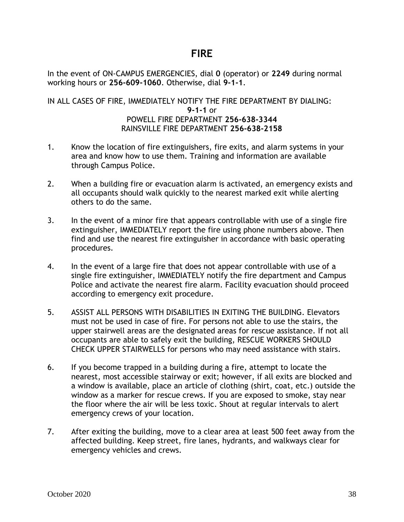### **FIRE**

<span id="page-37-0"></span>In the event of ON-CAMPUS EMERGENCIES, dial **0** (operator) or **2249** during normal working hours or **256-609-1060**. Otherwise, dial **9-1-1**.

### IN ALL CASES OF FIRE, IMMEDIATELY NOTIFY THE FIRE DEPARTMENT BY DIALING: **9-1-1** or POWELL FIRE DEPARTMENT **256-638-3344** RAINSVILLE FIRE DEPARTMENT **256-638-2158**

- 1. Know the location of fire extinguishers, fire exits, and alarm systems in your area and know how to use them. Training and information are available through Campus Police.
- 2. When a building fire or evacuation alarm is activated, an emergency exists and all occupants should walk quickly to the nearest marked exit while alerting others to do the same.
- 3. In the event of a minor fire that appears controllable with use of a single fire extinguisher, IMMEDIATELY report the fire using phone numbers above. Then find and use the nearest fire extinguisher in accordance with basic operating procedures.
- 4. In the event of a large fire that does not appear controllable with use of a single fire extinguisher, IMMEDIATELY notify the fire department and Campus Police and activate the nearest fire alarm. Facility evacuation should proceed according to emergency exit procedure.
- 5. ASSIST ALL PERSONS WITH DISABILITIES IN EXITING THE BUILDING. Elevators must not be used in case of fire. For persons not able to use the stairs, the upper stairwell areas are the designated areas for rescue assistance. If not all occupants are able to safely exit the building, RESCUE WORKERS SHOULD CHECK UPPER STAIRWELLS for persons who may need assistance with stairs.
- 6. If you become trapped in a building during a fire, attempt to locate the nearest, most accessible stairway or exit; however, if all exits are blocked and a window is available, place an article of clothing (shirt, coat, etc.) outside the window as a marker for rescue crews. If you are exposed to smoke, stay near the floor where the air will be less toxic. Shout at regular intervals to alert emergency crews of your location.
- 7. After exiting the building, move to a clear area at least 500 feet away from the affected building. Keep street, fire lanes, hydrants, and walkways clear for emergency vehicles and crews.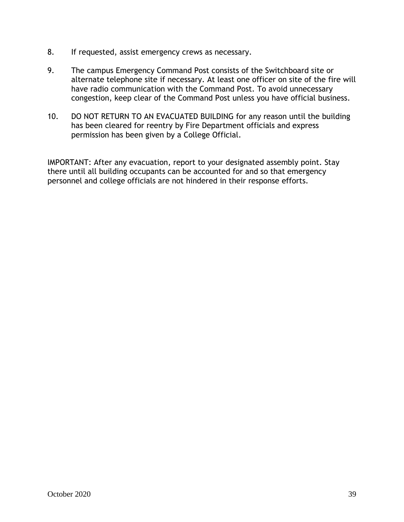- 8. If requested, assist emergency crews as necessary.
- 9. The campus Emergency Command Post consists of the Switchboard site or alternate telephone site if necessary. At least one officer on site of the fire will have radio communication with the Command Post. To avoid unnecessary congestion, keep clear of the Command Post unless you have official business.
- 10. DO NOT RETURN TO AN EVACUATED BUILDING for any reason until the building has been cleared for reentry by Fire Department officials and express permission has been given by a College Official.

IMPORTANT: After any evacuation, report to your designated assembly point. Stay there until all building occupants can be accounted for and so that emergency personnel and college officials are not hindered in their response efforts.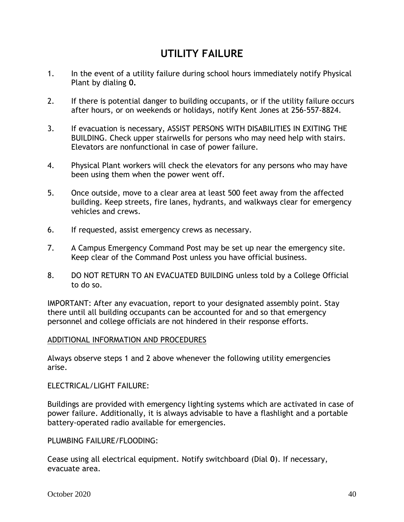# **UTILITY FAILURE**

- <span id="page-39-0"></span>1. In the event of a utility failure during school hours immediately notify Physical Plant by dialing **0.**
- 2. If there is potential danger to building occupants, or if the utility failure occurs after hours, or on weekends or holidays, notify Kent Jones at 256-557-8824.
- 3. If evacuation is necessary, ASSIST PERSONS WITH DISABILITIES IN EXITING THE BUILDING. Check upper stairwells for persons who may need help with stairs. Elevators are nonfunctional in case of power failure.
- 4. Physical Plant workers will check the elevators for any persons who may have been using them when the power went off.
- 5. Once outside, move to a clear area at least 500 feet away from the affected building. Keep streets, fire lanes, hydrants, and walkways clear for emergency vehicles and crews.
- 6. If requested, assist emergency crews as necessary.
- 7. A Campus Emergency Command Post may be set up near the emergency site. Keep clear of the Command Post unless you have official business.
- 8. DO NOT RETURN TO AN EVACUATED BUILDING unless told by a College Official to do so.

IMPORTANT: After any evacuation, report to your designated assembly point. Stay there until all building occupants can be accounted for and so that emergency personnel and college officials are not hindered in their response efforts.

#### ADDITIONAL INFORMATION AND PROCEDURES

Always observe steps 1 and 2 above whenever the following utility emergencies arise.

ELECTRICAL/LIGHT FAILURE:

Buildings are provided with emergency lighting systems which are activated in case of power failure. Additionally, it is always advisable to have a flashlight and a portable battery-operated radio available for emergencies.

PLUMBING FAILURE/FLOODING:

Cease using all electrical equipment. Notify switchboard (Dial **0**). If necessary, evacuate area.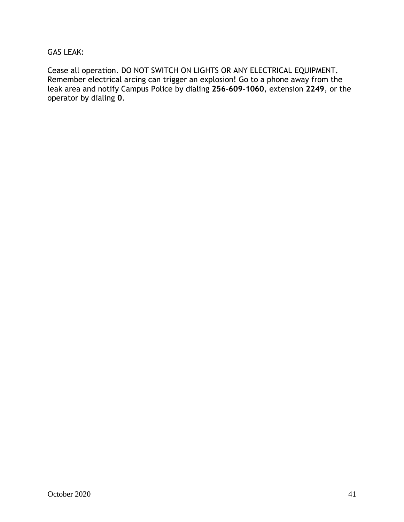### GAS LEAK:

Cease all operation. DO NOT SWITCH ON LIGHTS OR ANY ELECTRICAL EQUIPMENT. Remember electrical arcing can trigger an explosion! Go to a phone away from the leak area and notify Campus Police by dialing **256-609-1060**, extension **2249**, or the operator by dialing **0**.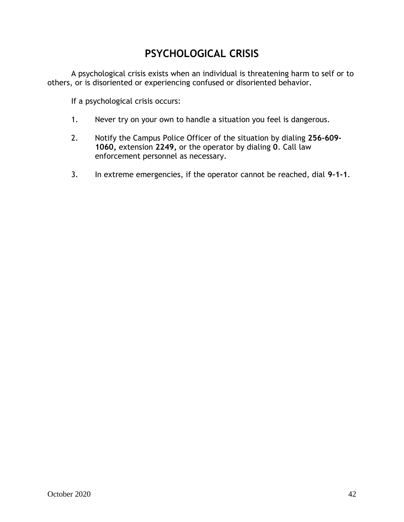# **PSYCHOLOGICAL CRISIS**

<span id="page-41-0"></span>A psychological crisis exists when an individual is threatening harm to self or to others, or is disoriented or experiencing confused or disoriented behavior.

If a psychological crisis occurs:

- 1. Never try on your own to handle a situation you feel is dangerous.
- 2. Notify the Campus Police Officer of the situation by dialing **256-609- 1060,** extension **2249,** or the operator by dialing **0**. Call law enforcement personnel as necessary.
- 3. In extreme emergencies, if the operator cannot be reached, dial **9-1-1**.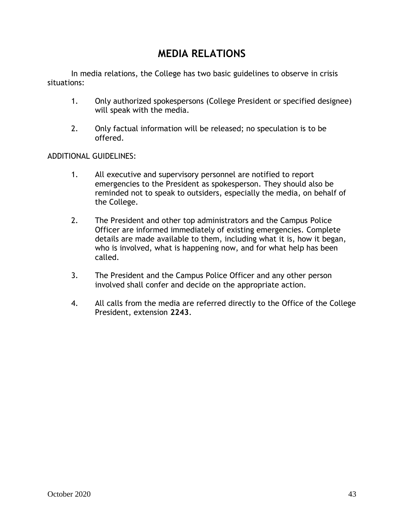# **MEDIA RELATIONS**

<span id="page-42-0"></span>In media relations, the College has two basic guidelines to observe in crisis situations:

- 1. Only authorized spokespersons (College President or specified designee) will speak with the media.
- 2. Only factual information will be released; no speculation is to be offered.

#### ADDITIONAL GUIDELINES:

- 1. All executive and supervisory personnel are notified to report emergencies to the President as spokesperson. They should also be reminded not to speak to outsiders, especially the media, on behalf of the College.
- 2. The President and other top administrators and the Campus Police Officer are informed immediately of existing emergencies. Complete details are made available to them, including what it is, how it began, who is involved, what is happening now, and for what help has been called.
- 3. The President and the Campus Police Officer and any other person involved shall confer and decide on the appropriate action.
- 4. All calls from the media are referred directly to the Office of the College President, extension **2243**.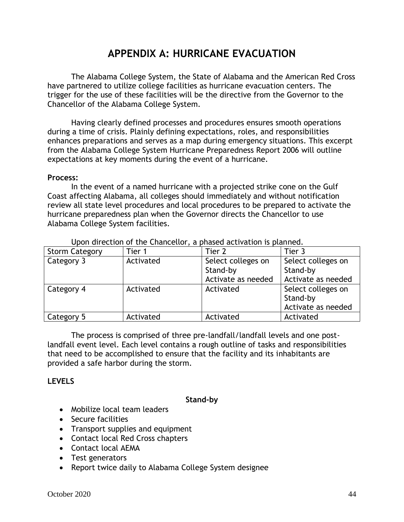# **APPENDIX A: HURRICANE EVACUATION**

<span id="page-43-0"></span>The Alabama College System, the State of Alabama and the American Red Cross have partnered to utilize college facilities as hurricane evacuation centers. The trigger for the use of these facilities will be the directive from the Governor to the Chancellor of the Alabama College System.

Having clearly defined processes and procedures ensures smooth operations during a time of crisis. Plainly defining expectations, roles, and responsibilities enhances preparations and serves as a map during emergency situations. This excerpt from the Alabama College System Hurricane Preparedness Report 2006 will outline expectations at key moments during the event of a hurricane.

#### **Process:**

In the event of a named hurricane with a projected strike cone on the Gulf Coast affecting Alabama, all colleges should immediately and without notification review all state level procedures and local procedures to be prepared to activate the hurricane preparedness plan when the Governor directs the Chancellor to use Alabama College System facilities.

| <b>Storm Category</b> | Tier 1    | Tier 2                                               | Tier 3                                               |
|-----------------------|-----------|------------------------------------------------------|------------------------------------------------------|
| Category 3            | Activated | Select colleges on<br>Stand-by<br>Activate as needed | Select colleges on<br>Stand-by<br>Activate as needed |
| Category 4            | Activated | Activated                                            | Select colleges on<br>Stand-by<br>Activate as needed |
| Category 5            | Activated | Activated                                            | Activated                                            |

Upon direction of the Chancellor, a phased activation is planned.

The process is comprised of three pre-landfall/landfall levels and one postlandfall event level. Each level contains a rough outline of tasks and responsibilities that need to be accomplished to ensure that the facility and its inhabitants are provided a safe harbor during the storm.

### <span id="page-43-1"></span>**LEVELS**

#### **Stand-by**

- Mobilize local team leaders
- Secure facilities
- Transport supplies and equipment
- Contact local Red Cross chapters
- Contact local AEMA
- Test generators
- Report twice daily to Alabama College System designee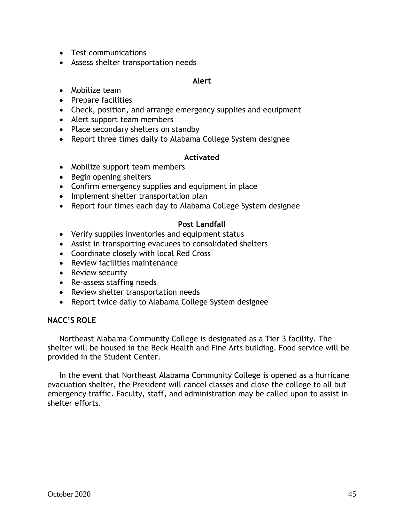- Test communications
- Assess shelter transportation needs

#### **Alert**

- Mobilize team
- Prepare facilities
- Check, position, and arrange emergency supplies and equipment
- Alert support team members
- Place secondary shelters on standby
- Report three times daily to Alabama College System designee

#### **Activated**

- Mobilize support team members
- Begin opening shelters
- Confirm emergency supplies and equipment in place
- Implement shelter transportation plan
- Report four times each day to Alabama College System designee

### **Post Landfall**

- Verify supplies inventories and equipment status
- Assist in transporting evacuees to consolidated shelters
- Coordinate closely with local Red Cross
- Review facilities maintenance
- Review security
- Re-assess staffing needs
- Review shelter transportation needs
- Report twice daily to Alabama College System designee

#### <span id="page-44-0"></span>**NACC'S ROLE**

Northeast Alabama Community College is designated as a Tier 3 facility. The shelter will be housed in the Beck Health and Fine Arts building. Food service will be provided in the Student Center.

In the event that Northeast Alabama Community College is opened as a hurricane evacuation shelter, the President will cancel classes and close the college to all but emergency traffic. Faculty, staff, and administration may be called upon to assist in shelter efforts.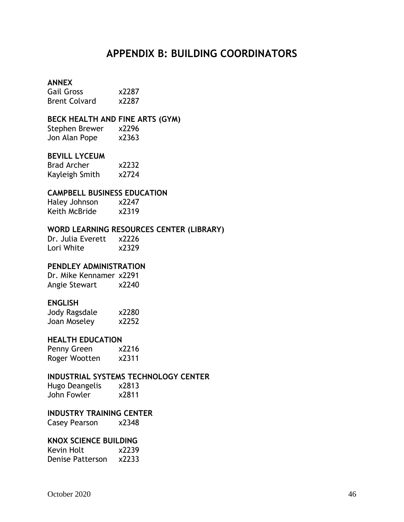## **APPENDIX B: BUILDING COORDINATORS**

#### <span id="page-45-0"></span>**ANNEX**

Gail Gross x2287 Brent Colvard x2287

#### **BECK HEALTH AND FINE ARTS (GYM)**

Stephen Brewer x2296 Jon Alan Pope x2363

#### **BEVILL LYCEUM**

| <b>Brad Archer</b> | x2232 |
|--------------------|-------|
| Kayleigh Smith     | x2724 |

#### **CAMPBELL BUSINESS EDUCATION**

Haley Johnson x2247 Keith McBride x2319

#### **WORD LEARNING RESOURCES CENTER (LIBRARY)**

Dr. Julia Everett x2226 Lori White x2329

### **PENDLEY ADMINISTRATION**

Dr. Mike Kennamer x2291 Angie Stewart x2240

#### **ENGLISH**

| Jody Ragsdale | x2280 |
|---------------|-------|
| Joan Moseley  | x2252 |

#### **HEALTH EDUCATION**

Penny Green x2216 Roger Wootten x2311

#### **INDUSTRIAL SYSTEMS TECHNOLOGY CENTER**

Hugo Deangelis x2813 John Fowler x2811

#### **INDUSTRY TRAINING CENTER**

Casey Pearson x2348

#### **KNOX SCIENCE BUILDING**

| Kevin Holt       | x2239 |
|------------------|-------|
| Denise Patterson | x2233 |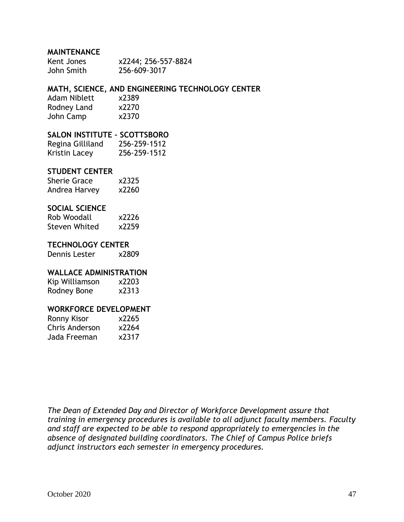#### **MAINTENANCE**

| Kent Jones | x2244; 256-557-8824 |
|------------|---------------------|
| John Smith | 256-609-3017        |

### **MATH, SCIENCE, AND ENGINEERING TECHNOLOGY CENTER**

| <b>Adam Niblett</b> | x2389 |
|---------------------|-------|
| Rodney Land         | x2270 |
| John Camp           | x2370 |

#### **SALON INSTITUTE – SCOTTSBORO**

| Regina Gilliland | 256-259-1512 |
|------------------|--------------|
| Kristin Lacey    | 256-259-1512 |

#### **STUDENT CENTER**

| <b>Sherie Grace</b> | x2325 |
|---------------------|-------|
| Andrea Harvey       | x2260 |

#### **SOCIAL SCIENCE**

| Rob Woodall          | x2226 |
|----------------------|-------|
| <b>Steven Whited</b> | x2259 |

#### **TECHNOLOGY CENTER**

Dennis Lester x2809

#### **WALLACE ADMINISTRATION**

Kip Williamson x2203 Rodney Bone x2313

#### **WORKFORCE DEVELOPMENT**

| Ronny Kisor    | x2265 |
|----------------|-------|
| Chris Anderson | x2264 |
| Jada Freeman   | x2317 |

*The Dean of Extended Day and Director of Workforce Development assure that training in emergency procedures is available to all adjunct faculty members. Faculty and staff are expected to be able to respond appropriately to emergencies in the absence of designated building coordinators. The Chief of Campus Police briefs adjunct instructors each semester in emergency procedures.*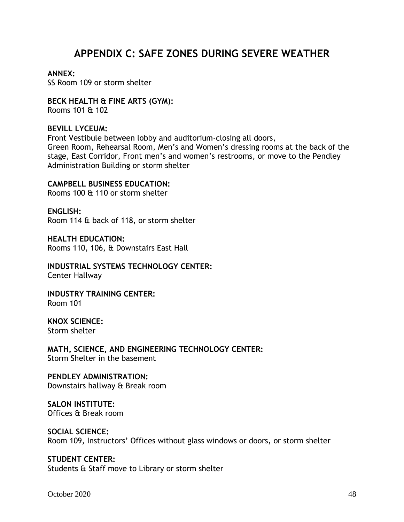# **APPENDIX C: SAFE ZONES DURING SEVERE WEATHER**

#### **ANNEX:**

SS Room 109 or storm shelter

#### **BECK HEALTH & FINE ARTS (GYM):**  Rooms 101 & 102

### **BEVILL LYCEUM:**

Front Vestibule between lobby and auditorium-closing all doors, Green Room, Rehearsal Room, Men's and Women's dressing rooms at the back of the stage, East Corridor, Front men's and women's restrooms, or move to the Pendley Administration Building or storm shelter

#### **CAMPBELL BUSINESS EDUCATION:**

Rooms 100 & 110 or storm shelter

**ENGLISH:**  Room 114 & back of 118, or storm shelter

**HEALTH EDUCATION:**  Rooms 110, 106, & Downstairs East Hall

**INDUSTRIAL SYSTEMS TECHNOLOGY CENTER:**  Center Hallway

**INDUSTRY TRAINING CENTER:**  Room 101

**KNOX SCIENCE:**  Storm shelter

**MATH, SCIENCE, AND ENGINEERING TECHNOLOGY CENTER:**  Storm Shelter in the basement

**PENDLEY ADMINISTRATION:**  Downstairs hallway & Break room

**SALON INSTITUTE:**  Offices & Break room

### **SOCIAL SCIENCE:**

Room 109, Instructors' Offices without glass windows or doors, or storm shelter

#### **STUDENT CENTER:**

Students & Staff move to Library or storm shelter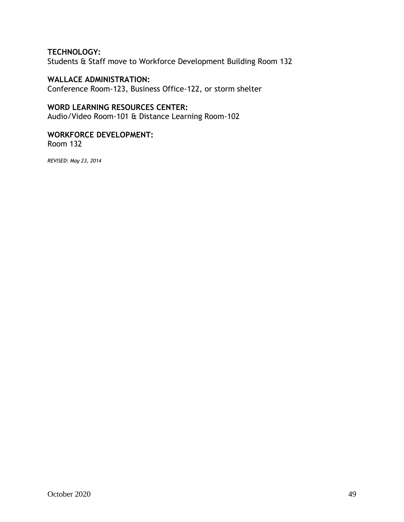### **TECHNOLOGY:**

Students & Staff move to Workforce Development Building Room 132

### **WALLACE ADMINISTRATION:**

Conference Room-123, Business Office-122, or storm shelter

### **WORD LEARNING RESOURCES CENTER:**

Audio/Video Room-101 & Distance Learning Room-102

### **WORKFORCE DEVELOPMENT:**

Room 132

*REVISED: May 23, 2014*